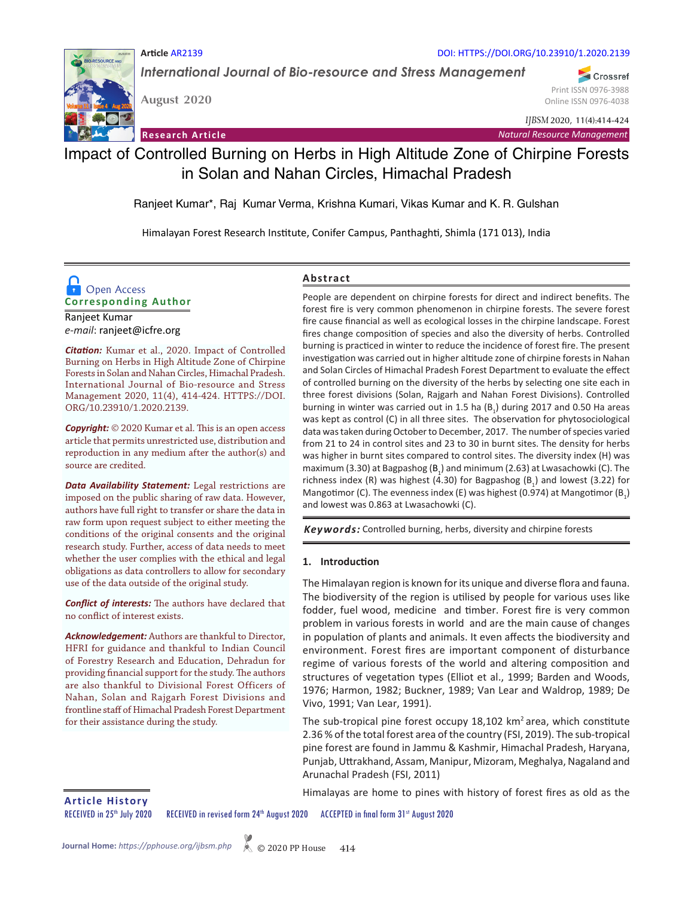

*International Journal of Bio-resource and Stress Management*

**August 2020** 

**Article** AR2139

Print ISSN 0976-3988 Online ISSN 0976-4038

Crossref

*IJBSM* 2020, 11(4):414-424

**Research Article** *Natural Resource Management*

DOI: HTTPS://DOI.ORG/10.23910/1.2020.2139

# Impact of Controlled Burning on Herbs in High Altitude Zone of Chirpine Forests in Solan and Nahan Circles, Himachal Pradesh

Ranjeet Kumar\*, Raj Kumar Verma, Krishna Kumari, Vikas Kumar and K. R. Gulshan

Himalayan Forest Research Institute, Conifer Campus, Panthaghti, Shimla (171 013), India

## **Corresponding Author D** Open Access

Ranjeet Kumar *e-mail*: ranjeet@icfre.org

*Citation:* Kumar et al., 2020. Impact of Controlled Burning on Herbs in High Altitude Zone of Chirpine Forests in Solan and Nahan Circles, Himachal Pradesh. International Journal of Bio-resource and Stress Management 2020, 11(4), 414-424. HTTPS://DOI. ORG/10.23910/1.2020.2139.

*Copyright:* © 2020 Kumar et al. This is an open access article that permits unrestricted use, distribution and reproduction in any medium after the author(s) and source are credited.

*Data Availability Statement:* Legal restrictions are imposed on the public sharing of raw data. However, authors have full right to transfer or share the data in raw form upon request subject to either meeting the conditions of the original consents and the original research study. Further, access of data needs to meet whether the user complies with the ethical and legal obligations as data controllers to allow for secondary use of the data outside of the original study.

*Conflict of interests:* The authors have declared that no conflict of interest exists.

*Acknowledgement:* Authors are thankful to Director, HFRI for guidance and thankful to Indian Council of Forestry Research and Education, Dehradun for providing financial support for the study. The authors are also thankful to Divisional Forest Officers of Nahan, Solan and Rajgarh Forest Divisions and frontline staff of Himachal Pradesh Forest Department for their assistance during the study.

## **Abstract**

People are dependent on chirpine forests for direct and indirect benefits. The forest fire is very common phenomenon in chirpine forests. The severe forest fire cause financial as well as ecological losses in the chirpine landscape. Forest fires change composition of species and also the diversity of herbs. Controlled burning is practiced in winter to reduce the incidence of forest fire. The present investigation was carried out in higher altitude zone of chirpine forests in Nahan and Solan Circles of Himachal Pradesh Forest Department to evaluate the effect of controlled burning on the diversity of the herbs by selecting one site each in three forest divisions (Solan, Rajgarh and Nahan Forest Divisions). Controlled burning in winter was carried out in 1.5 ha  $(B_1)$  during 2017 and 0.50 Ha areas was kept as control (C) in all three sites. The observation for phytosociological data was taken during October to December, 2017. The number of species varied from 21 to 24 in control sites and 23 to 30 in burnt sites. The density for herbs was higher in burnt sites compared to control sites. The diversity index (H) was maximum (3.30) at Bagpashog ( $B_1$ ) and minimum (2.63) at Lwasachowki (C). The richness index (R) was highest (4.30) for Bagpashog  $(B_1)$  and lowest (3.22) for Mangotimor (C). The evenness index (E) was highest (0.974) at Mangotimor ( $B_1$ ) and lowest was 0.863 at Lwasachowki (C).

*Keywords:* Controlled burning, herbs, diversity and chirpine forests

#### **1. Introduction**

The Himalayan region is known for its unique and diverse flora and fauna. The biodiversity of the region is utilised by people for various uses like fodder, fuel wood, medicine and timber. Forest fire is very common problem in various forests in world and are the main cause of changes in population of plants and animals. It even affects the biodiversity and environment. Forest fires are important component of disturbance regime of various forests of the world and altering composition and structures of vegetation types (Elliot et al., 1999; Barden and Woods, 1976; Harmon, 1982; Buckner, 1989; Van Lear and Waldrop, 1989; De Vivo, 1991; Van Lear, 1991).

The sub-tropical pine forest occupy 18,102 km<sup>2</sup> area, which constitute 2.36 % of the total forest area of the country (FSI, 2019). The sub-tropical pine forest are found in Jammu & Kashmir, Himachal Pradesh, Haryana, Punjab, Uttrakhand, Assam, Manipur, Mizoram, Meghalya, Nagaland and Arunachal Pradesh (FSI, 2011)

Himalayas are home to pines with history of forest fires as old as the **Article History**

RECEIVED in 25<sup>th</sup> July 2020 RECEIVED in revised form 24<sup>th</sup> August 2020 ACCEPTED in final form 31st August 2020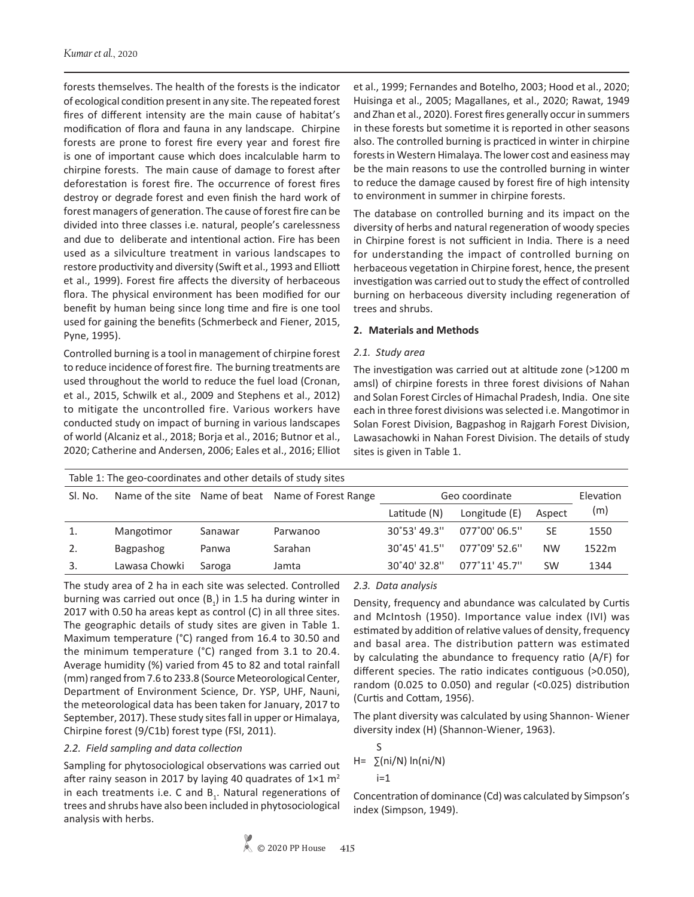forests themselves. The health of the forests is the indicator of ecological condition present in any site. The repeated forest fires of different intensity are the main cause of habitat's modification of flora and fauna in any landscape. Chirpine forests are prone to forest fire every year and forest fire is one of important cause which does incalculable harm to chirpine forests. The main cause of damage to forest after deforestation is forest fire. The occurrence of forest fires destroy or degrade forest and even finish the hard work of forest managers of generation. The cause of forest fire can be divided into three classes i.e. natural, people's carelessness and due to deliberate and intentional action. Fire has been used as a silviculture treatment in various landscapes to restore productivity and diversity (Swift et al., 1993 and Elliott et al., 1999). Forest fire affects the diversity of herbaceous flora. The physical environment has been modified for our benefit by human being since long time and fire is one tool used for gaining the benefits (Schmerbeck and Fiener, 2015, Pyne, 1995).

Controlled burning is a tool in management of chirpine forest to reduce incidence of forest fire. The burning treatments are used throughout the world to reduce the fuel load (Cronan, et al., 2015, Schwilk et al., 2009 and Stephens et al., 2012) to mitigate the uncontrolled fire. Various workers have conducted study on impact of burning in various landscapes of world (Alcaniz et al., 2018; Borja et al., 2016; Butnor et al., 2020; Catherine and Andersen, 2006; Eales et al., 2016; Elliot

et al., 1999; Fernandes and Botelho, 2003; Hood et al., 2020; Huisinga et al., 2005; Magallanes, et al., 2020; Rawat, 1949 and Zhan et al., 2020). Forest fires generally occur in summers in these forests but sometime it is reported in other seasons also. The controlled burning is practiced in winter in chirpine forests in Western Himalaya. The lower cost and easiness may be the main reasons to use the controlled burning in winter to reduce the damage caused by forest fire of high intensity to environment in summer in chirpine forests.

The database on controlled burning and its impact on the diversity of herbs and natural regeneration of woody species in Chirpine forest is not sufficient in India. There is a need for understanding the impact of controlled burning on herbaceous vegetation in Chirpine forest, hence, the present investigation was carried out to study the effect of controlled burning on herbaceous diversity including regeneration of trees and shrubs.

#### **2. Materials and Methods**

#### *2.1. Study area*

The investigation was carried out at altitude zone (>1200 m amsl) of chirpine forests in three forest divisions of Nahan and Solan Forest Circles of Himachal Pradesh, India. One site each in three forest divisions was selected i.e. Mangotimor in Solan Forest Division, Bagpashog in Rajgarh Forest Division, Lawasachowki in Nahan Forest Division. The details of study sites is given in Table 1.

| Table 1: The geo-coordinates and other details of study sites |               |         |                                                    |                       |                        |           |       |  |  |  |
|---------------------------------------------------------------|---------------|---------|----------------------------------------------------|-----------------------|------------------------|-----------|-------|--|--|--|
| SI. No.                                                       |               |         | Name of the site Name of beat Name of Forest Range | Geo coordinate        |                        | Elevation |       |  |  |  |
|                                                               |               |         |                                                    | Latitude (N)          | Longitude (E)          | Aspect    | (m)   |  |  |  |
| 1.                                                            | Mangotimor    | Sanawar | Parwanoo                                           | $30^{\circ}53'$ 49.3" | 077°00' 06.5"          | <b>SE</b> | 1550  |  |  |  |
| 2.                                                            | Bagpashog     | Panwa   | Sarahan                                            | $30^{\circ}45'$ 41.5" | $077^{\circ}09'52.6''$ | <b>NW</b> | 1522m |  |  |  |
| 3.                                                            | Lawasa Chowki | Saroga  | Jamta                                              | $30^{\circ}40'32.8''$ | $077^{\circ}11'$ 45.7" | <b>SW</b> | 1344  |  |  |  |

The study area of 2 ha in each site was selected. Controlled burning was carried out once  $(B_1)$  in 1.5 ha during winter in 2017 with 0.50 ha areas kept as control (C) in all three sites. The geographic details of study sites are given in Table 1. Maximum temperature (°C) ranged from 16.4 to 30.50 and the minimum temperature (°C) ranged from 3.1 to 20.4. Average humidity (%) varied from 45 to 82 and total rainfall (mm) ranged from 7.6 to 233.8 (Source Meteorological Center, Department of Environment Science, Dr. YSP, UHF, Nauni, the meteorological data has been taken for January, 2017 to September, 2017). These study sites fall in upper or Himalaya, Chirpine forest (9/C1b) forest type (FSI, 2011).

#### *2.2. Field sampling and data collection*

Sampling for phytosociological observations was carried out after rainy season in 2017 by laying 40 quadrates of  $1\times1$  m<sup>2</sup> in each treatments i.e. C and  $B_1$ . Natural regenerations of trees and shrubs have also been included in phytosociological analysis with herbs.

#### *2.3. Data analysis*

Density, frequency and abundance was calculated by Curtis and McIntosh (1950). Importance value index (IVI) was estimated by addition of relative values of density, frequency and basal area. The distribution pattern was estimated by calculating the abundance to frequency ratio (A/F) for different species. The ratio indicates contiguous (>0.050), random (0.025 to 0.050) and regular (<0.025) distribution (Curtis and Cottam, 1956).

The plant diversity was calculated by using Shannon- Wiener diversity index (H) (Shannon-Wiener, 1963).

$$
H = \sum_{i=1}^{S} (ni/N) \ln(ni/N)
$$

Concentration of dominance (Cd) was calculated by Simpson's index (Simpson, 1949).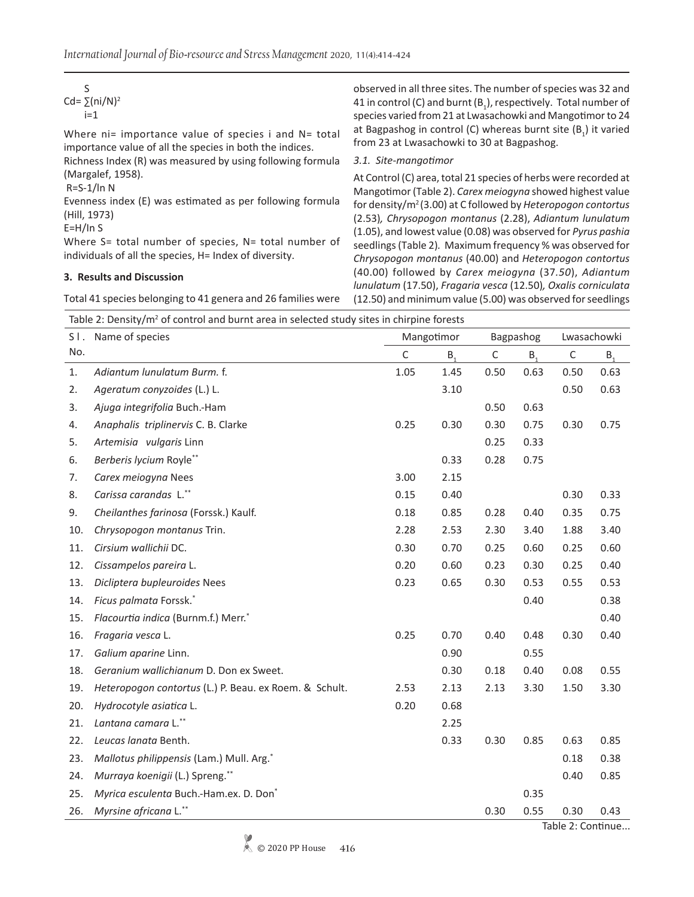| Cd= $\Sigma$ (ni/N) <sup>2</sup><br>$i=1$                                                                                                                                                                                                          | observed in all three sites. The number of species was 32 and<br>41 in control (C) and burnt $(B_1)$ , respectively. Total number of<br>species varied from 21 at Lwasachowki and Mangotimor to 24                                                                                                                                                                                                                                                  |
|----------------------------------------------------------------------------------------------------------------------------------------------------------------------------------------------------------------------------------------------------|-----------------------------------------------------------------------------------------------------------------------------------------------------------------------------------------------------------------------------------------------------------------------------------------------------------------------------------------------------------------------------------------------------------------------------------------------------|
| Where $ni=$ importance value of species i and $N=$ total<br>importance value of all the species in both the indices.                                                                                                                               | at Bagpashog in control (C) whereas burnt site $(B_1)$ it varied<br>from 23 at Lwasachowki to 30 at Bagpashog.                                                                                                                                                                                                                                                                                                                                      |
| Richness Index (R) was measured by using following formula                                                                                                                                                                                         | 3.1. Site-mangotimor                                                                                                                                                                                                                                                                                                                                                                                                                                |
| (Margalef, 1958).<br>$R = S - 1/ln N$<br>Evenness index (E) was estimated as per following formula<br>(Hill, 1973)<br>$E=H/In S$<br>Where S= total number of species, N= total number of<br>individuals of all the species, H= Index of diversity. | At Control (C) area, total 21 species of herbs were recorded at<br>Mangotimor (Table 2). Carex meiogyna showed highest value<br>for density/ $m^2$ (3.00) at C followed by Heteropogon contortus<br>(2.53), Chrysopogon montanus (2.28), Adiantum lunulatum<br>(1.05), and lowest value (0.08) was observed for Pyrus pashia<br>seedlings (Table 2). Maximum frequency % was observed for<br>Chrysopogon montanus (40.00) and Heteropogon contortus |
| 3. Results and Discussion                                                                                                                                                                                                                          | (40.00) followed by Carex meiogyna (37.50), Adiantum<br>lunulatum (17.50), Fragaria vesca (12.50), Oxalis corniculata                                                                                                                                                                                                                                                                                                                               |
| Total 41 species belonging to 41 genera and 26 families were                                                                                                                                                                                       | (12.50) and minimum value (5.00) was observed for seedlings                                                                                                                                                                                                                                                                                                                                                                                         |

Table 2: Density/ $m^2$  of control and burnt area in selected study sites in chirpine forests

| $S$ . | Name of species                                        |              | Mangotimor     |              | Bagpashog      |             | Lwasachowki    |
|-------|--------------------------------------------------------|--------------|----------------|--------------|----------------|-------------|----------------|
| No.   |                                                        | $\mathsf{C}$ | B <sub>1</sub> | $\mathsf{C}$ | B <sub>1</sub> | $\mathsf C$ | B <sub>1</sub> |
| 1.    | Adiantum lunulatum Burm. f.                            | 1.05         | 1.45           | 0.50         | 0.63           | 0.50        | 0.63           |
| 2.    | Ageratum conyzoides (L.) L.                            |              | 3.10           |              |                | 0.50        | 0.63           |
| 3.    | Ajuga integrifolia Buch.-Ham                           |              |                | 0.50         | 0.63           |             |                |
| 4.    | Anaphalis triplinervis C. B. Clarke                    | 0.25         | 0.30           | 0.30         | 0.75           | 0.30        | 0.75           |
| 5.    | Artemisia vulgaris Linn                                |              |                | 0.25         | 0.33           |             |                |
| 6.    | Berberis lycium Royle**                                |              | 0.33           | 0.28         | 0.75           |             |                |
| 7.    | Carex meiogyna Nees                                    | 3.00         | 2.15           |              |                |             |                |
| 8.    | Carissa carandas L.**                                  | 0.15         | 0.40           |              |                | 0.30        | 0.33           |
| 9.    | Cheilanthes farinosa (Forssk.) Kaulf.                  | 0.18         | 0.85           | 0.28         | 0.40           | 0.35        | 0.75           |
| 10.   | Chrysopogon montanus Trin.                             | 2.28         | 2.53           | 2.30         | 3.40           | 1.88        | 3.40           |
| 11.   | Cirsium wallichii DC.                                  | 0.30         | 0.70           | 0.25         | 0.60           | 0.25        | 0.60           |
| 12.   | Cissampelos pareira L.                                 | 0.20         | 0.60           | 0.23         | 0.30           | 0.25        | 0.40           |
| 13.   | Dicliptera bupleuroides Nees                           | 0.23         | 0.65           | 0.30         | 0.53           | 0.55        | 0.53           |
| 14.   | Ficus palmata Forssk.*                                 |              |                |              | 0.40           |             | 0.38           |
| 15.   | Flacourtia indica (Burnm.f.) Merr.*                    |              |                |              |                |             | 0.40           |
| 16.   | Fragaria vesca L.                                      | 0.25         | 0.70           | 0.40         | 0.48           | 0.30        | 0.40           |
| 17.   | Galium aparine Linn.                                   |              | 0.90           |              | 0.55           |             |                |
| 18.   | Geranium wallichianum D. Don ex Sweet.                 |              | 0.30           | 0.18         | 0.40           | 0.08        | 0.55           |
| 19.   | Heteropogon contortus (L.) P. Beau. ex Roem. & Schult. | 2.53         | 2.13           | 2.13         | 3.30           | 1.50        | 3.30           |
| 20.   | Hydrocotyle asiatica L.                                | 0.20         | 0.68           |              |                |             |                |
| 21.   | Lantana camara L.**                                    |              | 2.25           |              |                |             |                |
| 22.   | Leucas lanata Benth.                                   |              | 0.33           | 0.30         | 0.85           | 0.63        | 0.85           |
| 23.   | Mallotus philippensis (Lam.) Mull. Arg.*               |              |                |              |                | 0.18        | 0.38           |
| 24.   | Murraya koenigii (L.) Spreng.**                        |              |                |              |                | 0.40        | 0.85           |
| 25.   | Myrica esculenta Buch.-Ham.ex. D. Don*                 |              |                |              | 0.35           |             |                |
| 26.   | Myrsine africana L.**                                  |              |                | 0.30         | 0.55           | 0.30        | 0.43           |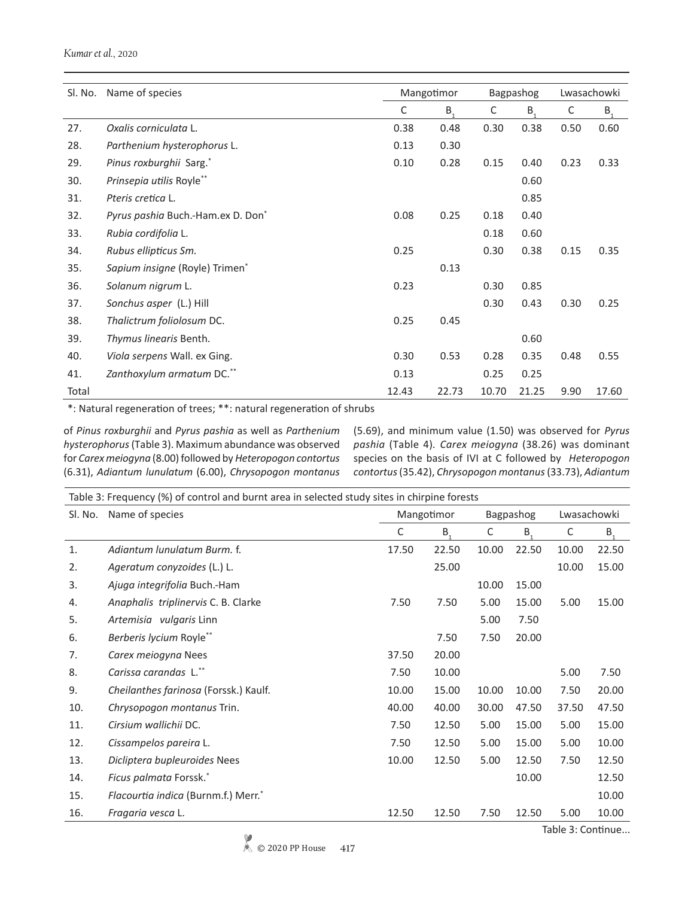#### *Kumar et al.*, 2020

| Sl. No. | Name of species                   |       | Mangotimor |       | Bagpashog      |      | Lwasachowki |
|---------|-----------------------------------|-------|------------|-------|----------------|------|-------------|
|         |                                   | C     | $B_{1}$    | C     | B <sub>1</sub> | C    | $B_{1}$     |
| 27.     | Oxalis corniculata L.             | 0.38  | 0.48       | 0.30  | 0.38           | 0.50 | 0.60        |
| 28.     | Parthenium hysterophorus L.       | 0.13  | 0.30       |       |                |      |             |
| 29.     | Pinus roxburghii Sarg.*           | 0.10  | 0.28       | 0.15  | 0.40           | 0.23 | 0.33        |
| 30.     | Prinsepia utilis Royle**          |       |            |       | 0.60           |      |             |
| 31.     | Pteris cretica L.                 |       |            |       | 0.85           |      |             |
| 32.     | Pyrus pashia Buch.-Ham.ex D. Don* | 0.08  | 0.25       | 0.18  | 0.40           |      |             |
| 33.     | Rubia cordifolia L.               |       |            | 0.18  | 0.60           |      |             |
| 34.     | Rubus ellipticus Sm.              | 0.25  |            | 0.30  | 0.38           | 0.15 | 0.35        |
| 35.     | Sapium insigne (Royle) Trimen*    |       | 0.13       |       |                |      |             |
| 36.     | Solanum nigrum L.                 | 0.23  |            | 0.30  | 0.85           |      |             |
| 37.     | Sonchus asper (L.) Hill           |       |            | 0.30  | 0.43           | 0.30 | 0.25        |
| 38.     | Thalictrum foliolosum DC.         | 0.25  | 0.45       |       |                |      |             |
| 39.     | Thymus linearis Benth.            |       |            |       | 0.60           |      |             |
| 40.     | Viola serpens Wall. ex Ging.      | 0.30  | 0.53       | 0.28  | 0.35           | 0.48 | 0.55        |
| 41.     | Zanthoxylum armatum DC.**         | 0.13  |            | 0.25  | 0.25           |      |             |
| Total   |                                   | 12.43 | 22.73      | 10.70 | 21.25          | 9.90 | 17.60       |

\*: Natural regeneration of trees; \*\*: natural regeneration of shrubs

of *Pinus roxburghii* and *Pyrus pashia* as well as *Parthenium hysterophorus* (Table 3). Maximum abundance was observed for *Carex meiogyna* (8.00) followed by *Heteropogon contortus* (6.31), *Adiantum lunulatum* (6.00), *Chrysopogon montanus*  (5.69), and minimum value (1.50) was observed for *Pyrus pashia* (Table 4)*. Carex meiogyna* (38.26) was dominant species on the basis of IVI at C followed by *Heteropogon contortus* (35.42), *Chrysopogon montanus* (33.73), *Adiantum* 

|     | Table 3: Frequency (%) of control and burnt area in selected study sites in chirpine forests |       |                |       |                |             |       |  |  |  |
|-----|----------------------------------------------------------------------------------------------|-------|----------------|-------|----------------|-------------|-------|--|--|--|
|     | Sl. No. Name of species                                                                      |       | Mangotimor     |       | Bagpashog      | Lwasachowki |       |  |  |  |
|     |                                                                                              | C     | B <sub>1</sub> | C     | B <sub>1</sub> | C           | $B_1$ |  |  |  |
| 1.  | Adiantum lunulatum Burm. f.                                                                  | 17.50 | 22.50          | 10.00 | 22.50          | 10.00       | 22.50 |  |  |  |
| 2.  | Ageratum conyzoides (L.) L.                                                                  |       | 25.00          |       |                | 10.00       | 15.00 |  |  |  |
| 3.  | Ajuga integrifolia Buch.-Ham                                                                 |       |                | 10.00 | 15.00          |             |       |  |  |  |
| 4.  | Anaphalis triplinervis C. B. Clarke                                                          | 7.50  | 7.50           | 5.00  | 15.00          | 5.00        | 15.00 |  |  |  |
| 5.  | Artemisia vulgaris Linn                                                                      |       |                | 5.00  | 7.50           |             |       |  |  |  |
| 6.  | Berberis lycium Royle**                                                                      |       | 7.50           | 7.50  | 20.00          |             |       |  |  |  |
| 7.  | Carex meiogyna Nees                                                                          | 37.50 | 20.00          |       |                |             |       |  |  |  |
| 8.  | Carissa carandas L.**                                                                        | 7.50  | 10.00          |       |                | 5.00        | 7.50  |  |  |  |
| 9.  | Cheilanthes farinosa (Forssk.) Kaulf.                                                        | 10.00 | 15.00          | 10.00 | 10.00          | 7.50        | 20.00 |  |  |  |
| 10. | Chrysopogon montanus Trin.                                                                   | 40.00 | 40.00          | 30.00 | 47.50          | 37.50       | 47.50 |  |  |  |
| 11. | Cirsium wallichii DC.                                                                        | 7.50  | 12.50          | 5.00  | 15.00          | 5.00        | 15.00 |  |  |  |
| 12. | Cissampelos pareira L.                                                                       | 7.50  | 12.50          | 5.00  | 15.00          | 5.00        | 10.00 |  |  |  |
| 13. | Dicliptera bupleuroides Nees                                                                 | 10.00 | 12.50          | 5.00  | 12.50          | 7.50        | 12.50 |  |  |  |
| 14. | Ficus palmata Forssk.*                                                                       |       |                |       | 10.00          |             | 12.50 |  |  |  |
| 15. | Flacourtia indica (Burnm.f.) Merr.*                                                          |       |                |       |                |             | 10.00 |  |  |  |
| 16. | Fragaria vesca L.                                                                            | 12.50 | 12.50          | 7.50  | 12.50          | 5.00        | 10.00 |  |  |  |

Table 3: Continue...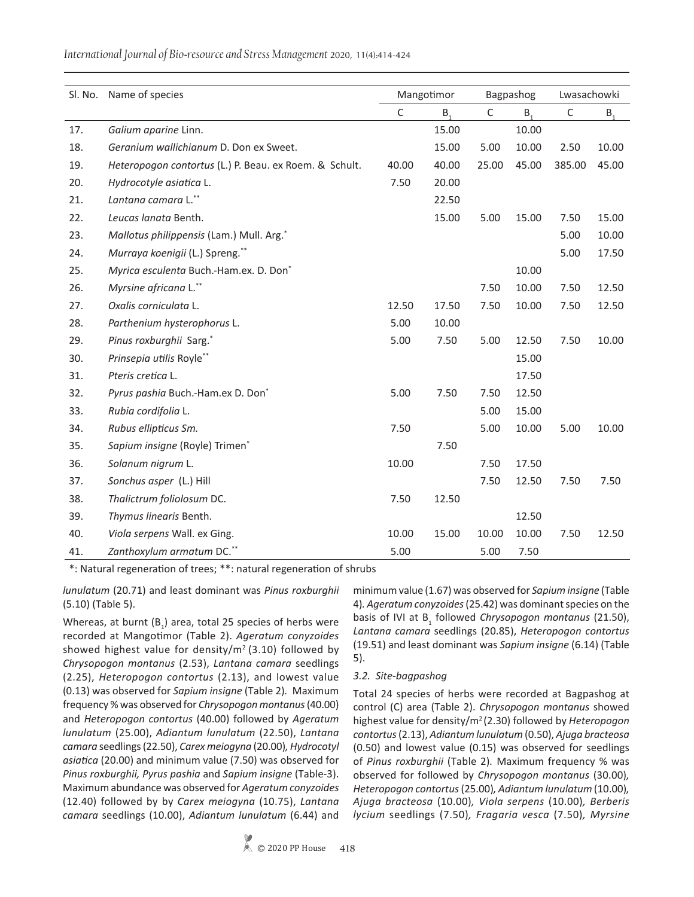*International Journal of Bio-resource and Stress Management* 2020, 11(4):414-424

|     | Sl. No. Name of species                                |       | Mangotimor |             | Bagpashog      | Lwasachowki |         |
|-----|--------------------------------------------------------|-------|------------|-------------|----------------|-------------|---------|
|     |                                                        | С     | $B_{1}$    | $\mathsf C$ | B <sub>1</sub> | $\mathsf C$ | $B_{1}$ |
| 17. | Galium aparine Linn.                                   |       | 15.00      |             | 10.00          |             |         |
| 18. | Geranium wallichianum D. Don ex Sweet.                 |       | 15.00      | 5.00        | 10.00          | 2.50        | 10.00   |
| 19. | Heteropogon contortus (L.) P. Beau. ex Roem. & Schult. | 40.00 | 40.00      | 25.00       | 45.00          | 385.00      | 45.00   |
| 20. | Hydrocotyle asiatica L.                                | 7.50  | 20.00      |             |                |             |         |
| 21. | Lantana camara L.**                                    |       | 22.50      |             |                |             |         |
| 22. | Leucas lanata Benth.                                   |       | 15.00      | 5.00        | 15.00          | 7.50        | 15.00   |
| 23. | Mallotus philippensis (Lam.) Mull. Arg.*               |       |            |             |                | 5.00        | 10.00   |
| 24. | Murraya koenigii (L.) Spreng.**                        |       |            |             |                | 5.00        | 17.50   |
| 25. | Myrica esculenta Buch.-Ham.ex. D. Don*                 |       |            |             | 10.00          |             |         |
| 26. | Myrsine africana L.**                                  |       |            | 7.50        | 10.00          | 7.50        | 12.50   |
| 27. | Oxalis corniculata L.                                  | 12.50 | 17.50      | 7.50        | 10.00          | 7.50        | 12.50   |
| 28. | Parthenium hysterophorus L.                            | 5.00  | 10.00      |             |                |             |         |
| 29. | Pinus roxburghii Sarg.*                                | 5.00  | 7.50       | 5.00        | 12.50          | 7.50        | 10.00   |
| 30. | Prinsepia utilis Royle**                               |       |            |             | 15.00          |             |         |
| 31. | Pteris cretica L.                                      |       |            |             | 17.50          |             |         |
| 32. | Pyrus pashia Buch.-Ham.ex D. Don*                      | 5.00  | 7.50       | 7.50        | 12.50          |             |         |
| 33. | Rubia cordifolia L.                                    |       |            | 5.00        | 15.00          |             |         |
| 34. | Rubus ellipticus Sm.                                   | 7.50  |            | 5.00        | 10.00          | 5.00        | 10.00   |
| 35. | Sapium insigne (Royle) Trimen*                         |       | 7.50       |             |                |             |         |
| 36. | Solanum nigrum L.                                      | 10.00 |            | 7.50        | 17.50          |             |         |
| 37. | Sonchus asper (L.) Hill                                |       |            | 7.50        | 12.50          | 7.50        | 7.50    |
| 38. | Thalictrum foliolosum DC.                              | 7.50  | 12.50      |             |                |             |         |
| 39. | Thymus linearis Benth.                                 |       |            |             | 12.50          |             |         |
| 40. | Viola serpens Wall. ex Ging.                           | 10.00 | 15.00      | 10.00       | 10.00          | 7.50        | 12.50   |
| 41. | Zanthoxylum armatum DC.**                              | 5.00  |            | 5.00        | 7.50           |             |         |

\*: Natural regeneration of trees; \*\*: natural regeneration of shrubs

*lunulatum* (20.71) and least dominant was *Pinus roxburghii*  (5.10) (Table 5).

Whereas, at burnt  $(B_1)$  area, total 25 species of herbs were recorded at Mangotimor (Table 2). *Ageratum conyzoides* showed highest value for density/ $m^2$  (3.10) followed by *Chrysopogon montanus* (2.53), *Lantana camara* seedlings (2.25), *Heteropogon contortus* (2.13), and lowest value (0.13) was observed for *Sapium insigne* (Table 2)*.* Maximum frequency % was observed for *Chrysopogon montanus* (40.00) and *Heteropogon contortus* (40.00) followed by *Ageratum lunulatum* (25.00), *Adiantum lunulatum* (22.50), *Lantana camara* seedlings(22.50), *Carex meiogyna* (20.00)*, Hydrocotyl asiatica* (20.00) and minimum value (7.50) was observed for *Pinus roxburghii, Pyrus pashia* and *Sapium insigne* (Table-3). Maximum abundance was observed for *Ageratum conyzoides*  (12.40) followed by by *Carex meiogyna* (10.75), *Lantana camara* seedlings (10.00), *Adiantum lunulatum* (6.44) and

minimum value (1.67) was observed for *Sapium insigne* (Table 4)*. Ageratum conyzoides* (25.42) was dominant species on the basis of IVI at B1 followed *Chrysopogon montanus* (21.50), *Lantana camara* seedlings (20.85), *Heteropogon contortus*  (19.51) and least dominant was *Sapium insigne* (6.14) (Table 5).

#### *3.2. Site-bagpashog*

Total 24 species of herbs were recorded at Bagpashog at control (C) area (Table 2). *Chrysopogon montanus* showed highest value for density/m2 (2.30) followed by *Heteropogon contortus* (2.13), *Adiantum lunulatum* (0.50), *Ajuga bracteosa*  (0.50) and lowest value (0.15) was observed for seedlings of *Pinus roxburghii* (Table 2)*.* Maximum frequency % was observed for followed by *Chrysopogon montanus* (30.00)*, Heteropogon contortus* (25.00)*, Adiantum lunulatum* (10.00)*, Ajuga bracteosa* (10.00)*, Viola serpens* (10.00)*, Berberis lycium* seedlings (7.50)*, Fragaria vesca* (7.50)*, Myrsine*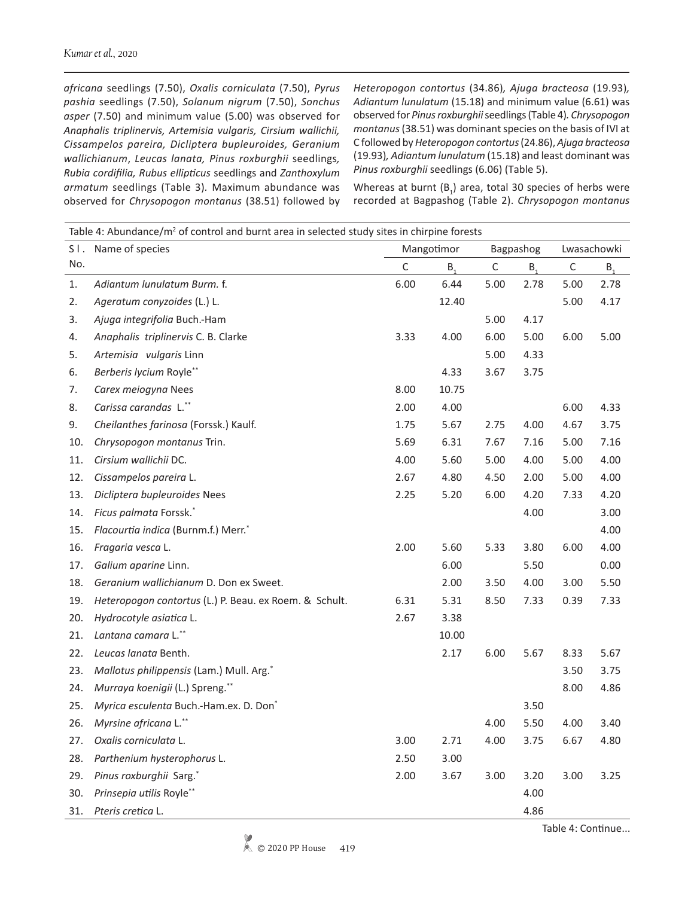*africana* seedlings (7.50), *Oxalis corniculata* (7.50), *Pyrus pashia* seedlings (7.50), *Solanum nigrum* (7.50), *Sonchus asper* (7.50) and minimum value (5.00) was observed for *Anaphalis triplinervis, Artemisia vulgaris, Cirsium wallichii, Cissampelos pareira, Dicliptera bupleuroides, Geranium wallichianum*, *Leucas lanata, Pinus roxburghii* seedlings*, Rubia cordifilia, Rubus ellipticus* seedlings and *Zanthoxylum armatum* seedlings (Table 3)*.* Maximum abundance was observed for *Chrysopogon montanus* (38.51) followed by

*Heteropogon contortus* (34.86)*, Ajuga bracteosa* (19.93)*, Adiantum lunulatum* (15.18) and minimum value (6.61) was observed for *Pinus roxburghii* seedlings(Table 4)*. Chrysopogon montanus* (38.51) was dominant species on the basis of IVI at C followed by *Heteropogon contortus* (24.86), *Ajuga bracteosa*  (19.93)*, Adiantum lunulatum* (15.18) and least dominant was *Pinus roxburghii* seedlings (6.06) (Table 5).

Whereas at burnt  $(B_1)$  area, total 30 species of herbs were recorded at Bagpashog (Table 2). *Chrysopogon montanus* 

|     | Table 4: Abundance/ $m^2$ of control and burnt area in selected study sites in chirpine forests |            |         |             |         |             |         |  |  |  |
|-----|-------------------------------------------------------------------------------------------------|------------|---------|-------------|---------|-------------|---------|--|--|--|
| SI. | Name of species                                                                                 | Mangotimor |         | Bagpashog   |         | Lwasachowki |         |  |  |  |
| No. |                                                                                                 | C          | $B_{1}$ | $\mathsf C$ | $B_{1}$ | $\mathsf C$ | $B_{1}$ |  |  |  |
| 1.  | Adiantum lunulatum Burm. f.                                                                     | 6.00       | 6.44    | 5.00        | 2.78    | 5.00        | 2.78    |  |  |  |
| 2.  | Ageratum conyzoides (L.) L.                                                                     |            | 12.40   |             |         | 5.00        | 4.17    |  |  |  |
| 3.  | Ajuga integrifolia Buch.-Ham                                                                    |            |         | 5.00        | 4.17    |             |         |  |  |  |
| 4.  | Anaphalis triplinervis C. B. Clarke                                                             | 3.33       | 4.00    | 6.00        | 5.00    | 6.00        | 5.00    |  |  |  |
| 5.  | Artemisia vulgaris Linn                                                                         |            |         | 5.00        | 4.33    |             |         |  |  |  |
| 6.  | Berberis lycium Royle**                                                                         |            | 4.33    | 3.67        | 3.75    |             |         |  |  |  |
| 7.  | Carex meiogyna Nees                                                                             | 8.00       | 10.75   |             |         |             |         |  |  |  |
| 8.  | Carissa carandas L.**                                                                           | 2.00       | 4.00    |             |         | 6.00        | 4.33    |  |  |  |
| 9.  | Cheilanthes farinosa (Forssk.) Kaulf.                                                           | 1.75       | 5.67    | 2.75        | 4.00    | 4.67        | 3.75    |  |  |  |
| 10. | Chrysopogon montanus Trin.                                                                      | 5.69       | 6.31    | 7.67        | 7.16    | 5.00        | 7.16    |  |  |  |
| 11. | Cirsium wallichii DC.                                                                           | 4.00       | 5.60    | 5.00        | 4.00    | 5.00        | 4.00    |  |  |  |
| 12. | Cissampelos pareira L.                                                                          | 2.67       | 4.80    | 4.50        | 2.00    | 5.00        | 4.00    |  |  |  |
| 13. | Dicliptera bupleuroides Nees                                                                    | 2.25       | 5.20    | 6.00        | 4.20    | 7.33        | 4.20    |  |  |  |
| 14. | Ficus palmata Forssk.*                                                                          |            |         |             | 4.00    |             | 3.00    |  |  |  |
| 15. | Flacourtia indica (Burnm.f.) Merr.*                                                             |            |         |             |         |             | 4.00    |  |  |  |
| 16. | Fragaria vesca L.                                                                               | 2.00       | 5.60    | 5.33        | 3.80    | 6.00        | 4.00    |  |  |  |
| 17. | Galium aparine Linn.                                                                            |            | 6.00    |             | 5.50    |             | 0.00    |  |  |  |
| 18. | Geranium wallichianum D. Don ex Sweet.                                                          |            | 2.00    | 3.50        | 4.00    | 3.00        | 5.50    |  |  |  |
| 19. | Heteropogon contortus (L.) P. Beau. ex Roem. & Schult.                                          | 6.31       | 5.31    | 8.50        | 7.33    | 0.39        | 7.33    |  |  |  |
| 20. | Hydrocotyle asiatica L.                                                                         | 2.67       | 3.38    |             |         |             |         |  |  |  |
| 21. | Lantana camara L.**                                                                             |            | 10.00   |             |         |             |         |  |  |  |
| 22. | Leucas lanata Benth.                                                                            |            | 2.17    | 6.00        | 5.67    | 8.33        | 5.67    |  |  |  |
| 23. | Mallotus philippensis (Lam.) Mull. Arg.*                                                        |            |         |             |         | 3.50        | 3.75    |  |  |  |
| 24. | Murraya koenigii (L.) Spreng.**                                                                 |            |         |             |         | 8.00        | 4.86    |  |  |  |
| 25. | Myrica esculenta Buch.-Ham.ex. D. Don*                                                          |            |         |             | 3.50    |             |         |  |  |  |
| 26. | Myrsine africana L.**                                                                           |            |         | 4.00        | 5.50    | 4.00        | 3.40    |  |  |  |
| 27. | Oxalis corniculata L.                                                                           | 3.00       | 2.71    | 4.00        | 3.75    | 6.67        | 4.80    |  |  |  |
| 28. | Parthenium hysterophorus L.                                                                     | 2.50       | 3.00    |             |         |             |         |  |  |  |
| 29. | Pinus roxburghii Sarg.*                                                                         | 2.00       | 3.67    | 3.00        | 3.20    | 3.00        | 3.25    |  |  |  |
| 30. | Prinsepia utilis Royle**                                                                        |            |         |             | 4.00    |             |         |  |  |  |
| 31. | Pteris cretica L.                                                                               |            |         |             | 4.86    |             |         |  |  |  |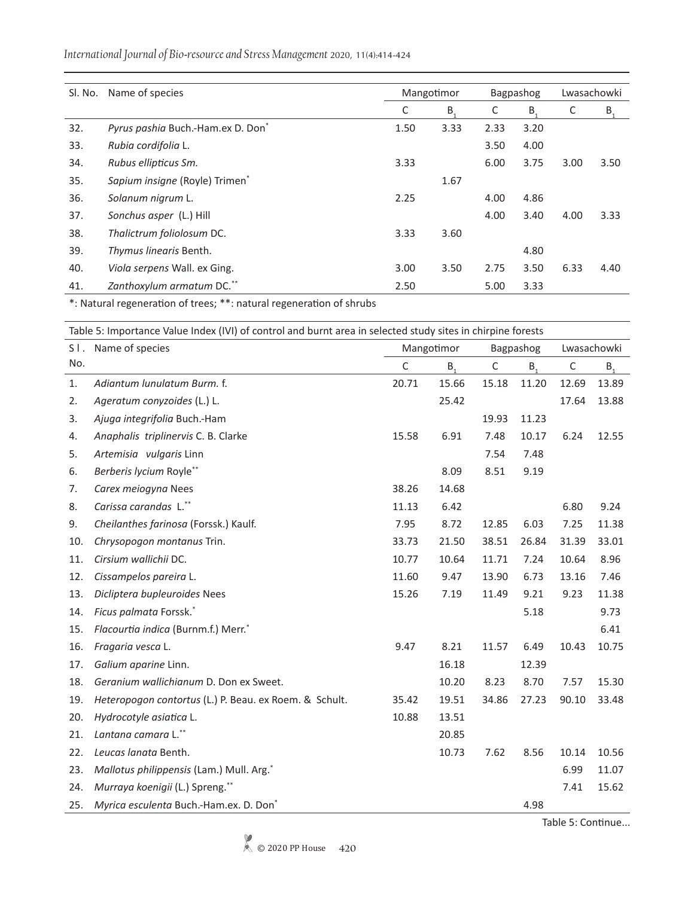|  | International Journal of Bio-resource and Stress Management 2020, 11(4):414-424 |
|--|---------------------------------------------------------------------------------|
|  |                                                                                 |

| Sl. No. | Name of species                   |      | Mangotimor | Bagpashog |         | Lwasachowki |                |
|---------|-----------------------------------|------|------------|-----------|---------|-------------|----------------|
|         |                                   | С    | $B_{1}$    | C         | $B_{1}$ | C           | B <sub>1</sub> |
| 32.     | Pyrus pashia Buch.-Ham.ex D. Don* | 1.50 | 3.33       | 2.33      | 3.20    |             |                |
| 33.     | Rubia cordifolia L.               |      |            | 3.50      | 4.00    |             |                |
| 34.     | Rubus ellipticus Sm.              | 3.33 |            | 6.00      | 3.75    | 3.00        | 3.50           |
| 35.     | Sapium insigne (Royle) Trimen*    |      | 1.67       |           |         |             |                |
| 36.     | Solanum nigrum L.                 | 2.25 |            | 4.00      | 4.86    |             |                |
| 37.     | Sonchus asper (L.) Hill           |      |            | 4.00      | 3.40    | 4.00        | 3.33           |
| 38.     | Thalictrum foliolosum DC.         | 3.33 | 3.60       |           |         |             |                |
| 39.     | Thymus linearis Benth.            |      |            |           | 4.80    |             |                |
| 40.     | Viola serpens Wall. ex Ging.      | 3.00 | 3.50       | 2.75      | 3.50    | 6.33        | 4.40           |
| 41.     | Zanthoxylum armatum DC.**         | 2.50 |            | 5.00      | 3.33    |             |                |

\*: Natural regeneration of trees; \*\*: natural regeneration of shrubs

|     | Table 5: Importance Value Index (IVI) of control and burnt area in selected study sites in chirpine forests |             |         |             |           |             |       |  |  |
|-----|-------------------------------------------------------------------------------------------------------------|-------------|---------|-------------|-----------|-------------|-------|--|--|
| S1. | Name of species                                                                                             | Mangotimor  |         |             | Bagpashog | Lwasachowki |       |  |  |
| No. |                                                                                                             | $\mathsf C$ | $B_{1}$ | $\mathsf C$ | $B_{1}$   | $\mathsf C$ | $B_1$ |  |  |
| 1.  | Adiantum lunulatum Burm. f.                                                                                 | 20.71       | 15.66   | 15.18       | 11.20     | 12.69       | 13.89 |  |  |
| 2.  | Ageratum conyzoides (L.) L.                                                                                 |             | 25.42   |             |           | 17.64       | 13.88 |  |  |
| 3.  | Ajuga integrifolia Buch.-Ham                                                                                |             |         | 19.93       | 11.23     |             |       |  |  |
| 4.  | Anaphalis triplinervis C. B. Clarke                                                                         | 15.58       | 6.91    | 7.48        | 10.17     | 6.24        | 12.55 |  |  |
| 5.  | Artemisia vulgaris Linn                                                                                     |             |         | 7.54        | 7.48      |             |       |  |  |
| 6.  | Berberis lycium Royle**                                                                                     |             | 8.09    | 8.51        | 9.19      |             |       |  |  |
| 7.  | Carex meiogyna Nees                                                                                         | 38.26       | 14.68   |             |           |             |       |  |  |
| 8.  | Carissa carandas L.**                                                                                       | 11.13       | 6.42    |             |           | 6.80        | 9.24  |  |  |
| 9.  | Cheilanthes farinosa (Forssk.) Kaulf.                                                                       | 7.95        | 8.72    | 12.85       | 6.03      | 7.25        | 11.38 |  |  |
| 10. | Chrysopogon montanus Trin.                                                                                  | 33.73       | 21.50   | 38.51       | 26.84     | 31.39       | 33.01 |  |  |
| 11. | Cirsium wallichii DC.                                                                                       | 10.77       | 10.64   | 11.71       | 7.24      | 10.64       | 8.96  |  |  |
| 12. | Cissampelos pareira L.                                                                                      | 11.60       | 9.47    | 13.90       | 6.73      | 13.16       | 7.46  |  |  |
| 13. | Dicliptera bupleuroides Nees                                                                                | 15.26       | 7.19    | 11.49       | 9.21      | 9.23        | 11.38 |  |  |
| 14. | Ficus palmata Forssk.*                                                                                      |             |         |             | 5.18      |             | 9.73  |  |  |
| 15. | Flacourtia indica (Burnm.f.) Merr.*                                                                         |             |         |             |           |             | 6.41  |  |  |
| 16. | Fragaria vesca L.                                                                                           | 9.47        | 8.21    | 11.57       | 6.49      | 10.43       | 10.75 |  |  |
| 17. | Galium aparine Linn.                                                                                        |             | 16.18   |             | 12.39     |             |       |  |  |
| 18. | Geranium wallichianum D. Don ex Sweet.                                                                      |             | 10.20   | 8.23        | 8.70      | 7.57        | 15.30 |  |  |
| 19. | Heteropogon contortus (L.) P. Beau. ex Roem. & Schult.                                                      | 35.42       | 19.51   | 34.86       | 27.23     | 90.10       | 33.48 |  |  |
| 20. | Hydrocotyle asiatica L.                                                                                     | 10.88       | 13.51   |             |           |             |       |  |  |
| 21. | Lantana camara L.**                                                                                         |             | 20.85   |             |           |             |       |  |  |
| 22. | Leucas lanata Benth.                                                                                        |             | 10.73   | 7.62        | 8.56      | 10.14       | 10.56 |  |  |
| 23. | Mallotus philippensis (Lam.) Mull. Arg.*                                                                    |             |         |             |           | 6.99        | 11.07 |  |  |
| 24. | Murraya koenigii (L.) Spreng.**                                                                             |             |         |             |           | 7.41        | 15.62 |  |  |
| 25. | Myrica esculenta Buch.-Ham.ex. D. Don*                                                                      |             |         |             | 4.98      |             |       |  |  |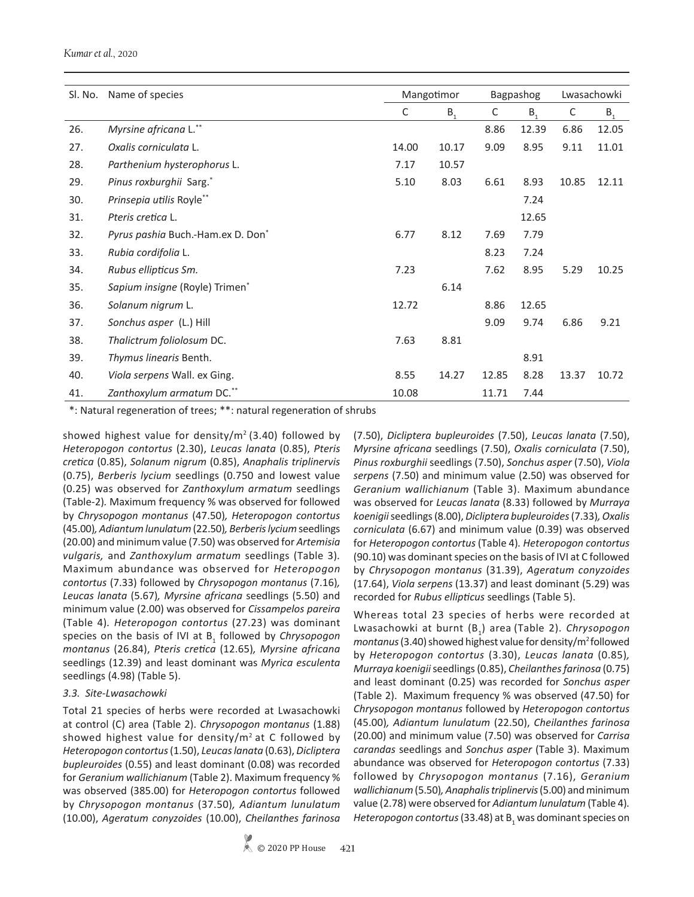#### *Kumar et al.*, 2020

| Sl. No. | Name of species                               |       | Mangotimor |       | Bagpashog | Lwasachowki |                |
|---------|-----------------------------------------------|-------|------------|-------|-----------|-------------|----------------|
|         |                                               | C     | $B_{1}$    | C     | $B_{1}$   | C           | B <sub>1</sub> |
| 26.     | Myrsine africana L.**                         |       |            | 8.86  | 12.39     | 6.86        | 12.05          |
| 27.     | Oxalis corniculata L.                         | 14.00 | 10.17      | 9.09  | 8.95      | 9.11        | 11.01          |
| 28.     | Parthenium hysterophorus L.                   | 7.17  | 10.57      |       |           |             |                |
| 29.     | Pinus roxburghii Sarg.*                       | 5.10  | 8.03       | 6.61  | 8.93      | 10.85       | 12.11          |
| 30.     | Prinsepia utilis Royle**                      |       |            |       | 7.24      |             |                |
| 31.     | Pteris cretica L.                             |       |            |       | 12.65     |             |                |
| 32.     | Pyrus pashia Buch.-Ham.ex D. Don <sup>*</sup> | 6.77  | 8.12       | 7.69  | 7.79      |             |                |
| 33.     | Rubia cordifolia L.                           |       |            | 8.23  | 7.24      |             |                |
| 34.     | Rubus ellipticus Sm.                          | 7.23  |            | 7.62  | 8.95      | 5.29        | 10.25          |
| 35.     | Sapium insigne (Royle) Trimen <sup>*</sup>    |       | 6.14       |       |           |             |                |
| 36.     | Solanum nigrum L.                             | 12.72 |            | 8.86  | 12.65     |             |                |
| 37.     | Sonchus asper (L.) Hill                       |       |            | 9.09  | 9.74      | 6.86        | 9.21           |
| 38.     | Thalictrum foliolosum DC.                     | 7.63  | 8.81       |       |           |             |                |
| 39.     | Thymus linearis Benth.                        |       |            |       | 8.91      |             |                |
| 40.     | Viola serpens Wall. ex Ging.                  | 8.55  | 14.27      | 12.85 | 8.28      | 13.37       | 10.72          |
| 41.     | Zanthoxylum armatum DC.**                     | 10.08 |            | 11.71 | 7.44      |             |                |

\*: Natural regeneration of trees; \*\*: natural regeneration of shrubs

showed highest value for density/ $m^2$  (3.40) followed by *Heteropogon contortus* (2.30), *Leucas lanata* (0.85), *Pteris cretica* (0.85), *Solanum nigrum* (0.85), *Anaphalis triplinervis* (0.75), *Berberis lycium* seedlings (0.750 and lowest value (0.25) was observed for *Zanthoxylum armatum* seedlings (Table-2)*.* Maximum frequency % was observed for followed by *Chrysopogon montanus* (47.50)*, Heteropogon contortus*  (45.00)*, Adiantum lunulatum* (22.50)*, Berberis lycium* seedlings (20.00) and minimum value (7.50) was observed for *Artemisia vulgaris,* and *Zanthoxylum armatum* seedlings (Table 3)*.*  Maximum abundance was observed for *Heteropogon contortus* (7.33) followed by *Chrysopogon montanus* (7.16)*, Leucas lanata* (5.67)*, Myrsine africana* seedlings (5.50) and minimum value (2.00) was observed for *Cissampelos pareira* (Table 4)*. Heteropogon contortus* (27.23) was dominant species on the basis of IVI at B<sub>1</sub> followed by *Chrysopogon montanus* (26.84), *Pteris cretica* (12.65)*, Myrsine africana*  seedlings (12.39) and least dominant was *Myrica esculenta* seedlings (4.98) (Table 5).

#### *3.3. Site-Lwasachowki*

Total 21 species of herbs were recorded at Lwasachowki at control (C) area (Table 2). *Chrysopogon montanus* (1.88) showed highest value for density/ $m^2$  at C followed by *Heteropogon contortus* (1.50), *Leucas lanata* (0.63), *Dicliptera bupleuroides* (0.55) and least dominant (0.08) was recorded for *Geranium wallichianum* (Table 2). Maximum frequency % was observed (385.00) for *Heteropogon contortus* followed by *Chrysopogon montanus* (37.50)*, Adiantum lunulatum*  (10.00), *Ageratum conyzoides* (10.00), *Cheilanthes farinosa*  (7.50), *Dicliptera bupleuroides* (7.50), *Leucas lanata* (7.50), *Myrsine africana* seedlings (7.50), *Oxalis corniculata* (7.50), *Pinus roxburghii* seedlings (7.50), *Sonchus asper* (7.50), *Viola serpens* (7.50) and minimum value (2.50) was observed for *Geranium wallichianum* (Table 3). Maximum abundance was observed for *Leucas lanata* (8.33) followed by *Murraya koenigii* seedlings (8.00), *Dicliptera bupleuroides* (7.33)*, Oxalis corniculata* (6.67) and minimum value (0.39) was observed for *Heteropogon contortus* (Table 4)*. Heteropogon contortus*  (90.10) was dominant species on the basis of IVI at C followed by *Chrysopogon montanus* (31.39), *Ageratum conyzoides*  (17.64), *Viola serpens* (13.37) and least dominant (5.29) was recorded for *Rubus ellipticus* seedlings (Table 5).

Whereas total 23 species of herbs were recorded at Lwasachowki at burnt (B1 ) area (Table 2). *Chrysopogon montanus* (3.40) showed highest value for density/m<sup>2</sup> followed by *Heteropogon contortus* (3.30), *Leucas lanata* (0.85)*, Murraya koenigii* seedlings (0.85), *Cheilanthes farinosa* (0.75) and least dominant (0.25) was recorded for *Sonchus asper* (Table 2). Maximum frequency % was observed (47.50) for *Chrysopogon montanus* followed by *Heteropogon contortus*  (45.00)*, Adiantum lunulatum* (22.50), *Cheilanthes farinosa*  (20.00) and minimum value (7.50) was observed for *Carrisa carandas* seedlings and *Sonchus asper* (Table 3). Maximum abundance was observed for *Heteropogon contortus* (7.33) followed by *Chrysopogon montanus* (7.16), *Geranium wallichianum* (5.50), Anaphalis triplinervis (5.00) and minimum value (2.78) were observed for *Adiantum lunulatum* (Table 4)*.*  Heteropogon contortus (33.48) at B<sub>1</sub> was dominant species on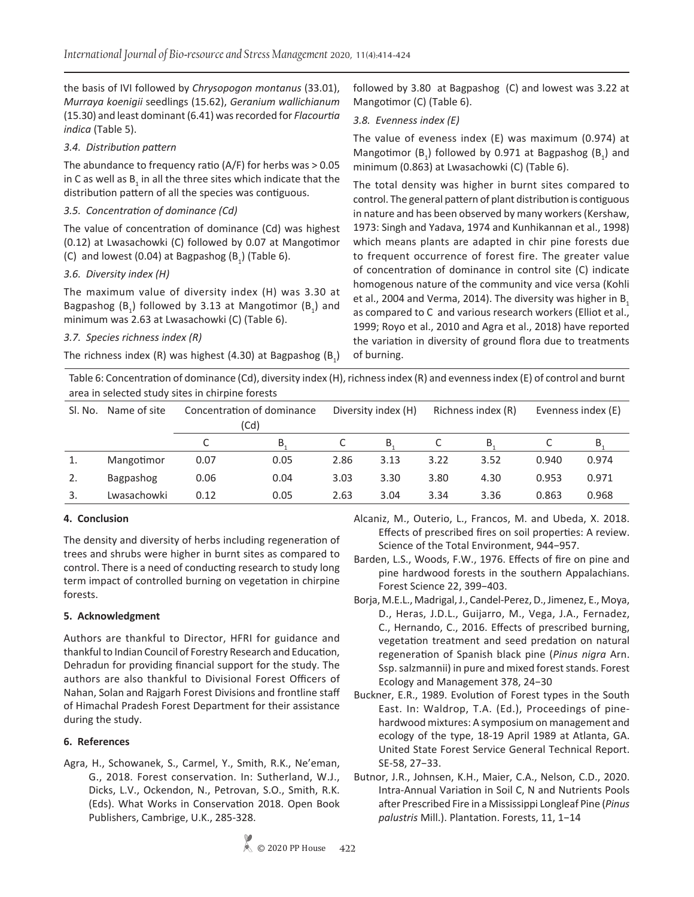the basis of IVI followed by *Chrysopogon montanus* (33.01), *Murraya koenigii* seedlings (15.62), *Geranium wallichianum* (15.30) and least dominant (6.41) was recorded for *Flacourtia indica* (Table 5).

## *3.4. Distribution pattern*

The abundance to frequency ratio (A/F) for herbs was > 0.05 in C as well as  $B_1$  in all the three sites which indicate that the distribution pattern of all the species was contiguous.

## *3.5. Concentration of dominance (Cd)*

The value of concentration of dominance (Cd) was highest (0.12) at Lwasachowki (C) followed by 0.07 at Mangotimor (C) and lowest (0.04) at Bagpashog  $(B_1)$  (Table 6).

## *3.6. Diversity index (H)*

The maximum value of diversity index (H) was 3.30 at Bagpashog  $(B_1)$  followed by 3.13 at Mangotimor  $(B_1)$  and minimum was 2.63 at Lwasachowki (C) (Table 6).

## *3.7. Species richness index (R)*

The richness index (R) was highest (4.30) at Bagpashog  $(B_1)$ 

followed by 3.80 at Bagpashog (C) and lowest was 3.22 at Mangotimor (C) (Table 6).

#### *3.8. Evenness index (E)*

The value of eveness index (E) was maximum (0.974) at Mangotimor  $(B_1)$  followed by 0.971 at Bagpashog  $(B_1)$  and minimum (0.863) at Lwasachowki (C) (Table 6).

The total density was higher in burnt sites compared to control. The general pattern of plant distribution is contiguous in nature and has been observed by many workers (Kershaw, 1973: Singh and Yadava, 1974 and Kunhikannan et al., 1998) which means plants are adapted in chir pine forests due to frequent occurrence of forest fire. The greater value of concentration of dominance in control site (C) indicate homogenous nature of the community and vice versa (Kohli et al., 2004 and Verma, 2014). The diversity was higher in B. as compared to C and various research workers (Elliot et al., 1999; Royo et al., 2010 and Agra et al., 2018) have reported the variation in diversity of ground flora due to treatments of burning.

Table 6: Concentration of dominance (Cd), diversity index (H), richness index (R) and evenness index (E) of control and burnt area in selected study sites in chirpine forests

| Sl. No. | Name of site | Concentration of dominance<br>(Cd) |      |      | Diversity index (H) |      | Richness index (R) |       | Evenness index (E) |  |
|---------|--------------|------------------------------------|------|------|---------------------|------|--------------------|-------|--------------------|--|
|         |              | C                                  | B    |      | B                   | C    | B.                 |       | B                  |  |
|         | Mangotimor   | 0.07                               | 0.05 | 2.86 | 3.13                | 3.22 | 3.52               | 0.940 | 0.974              |  |
| 2.      | Bagpashog    | 0.06                               | 0.04 | 3.03 | 3.30                | 3.80 | 4.30               | 0.953 | 0.971              |  |
|         | Lwasachowki  | 0.12                               | 0.05 | 2.63 | 3.04                | 3.34 | 3.36               | 0.863 | 0.968              |  |

## **4. Conclusion**

The density and diversity of herbs including regeneration of trees and shrubs were higher in burnt sites as compared to control. There is a need of conducting research to study long term impact of controlled burning on vegetation in chirpine forests.

## **5. Acknowledgment**

Authors are thankful to Director, HFRI for guidance and thankful to Indian Council of Forestry Research and Education, Dehradun for providing financial support for the study. The authors are also thankful to Divisional Forest Officers of Nahan, Solan and Rajgarh Forest Divisions and frontline staff of Himachal Pradesh Forest Department for their assistance during the study.

## **6. References**

Agra, H., Schowanek, S., Carmel, Y., Smith, R.K., Ne'eman, G., 2018. Forest conservation. In: Sutherland, W.J., Dicks, L.V., Ockendon, N., Petrovan, S.O., Smith, R.K. (Eds). What Works in Conservation 2018. Open Book Publishers, Cambrige, U.K., 285-328.

Alcaniz, M., Outerio, L., Francos, M. and Ubeda, X. 2018. Effects of prescribed fires on soil properties: A review. Science of the Total Environment, 944−957.

- Barden, L.S., Woods, F.W., 1976. Effects of fire on pine and pine hardwood forests in the southern Appalachians. Forest Science 22, 399−403.
- Borja, M.E.L., Madrigal, J., Candel-Perez, D., Jimenez, E., Moya, D., Heras, J.D.L., Guijarro, M., Vega, J.A., Fernadez, C., Hernando, C., 2016. Effects of prescribed burning, vegetation treatment and seed predation on natural regeneration of Spanish black pine (*Pinus nigra* Arn. Ssp. salzmannii) in pure and mixed forest stands. Forest Ecology and Management 378, 24−30
- Buckner, E.R., 1989. Evolution of Forest types in the South East. In: Waldrop, T.A. (Ed.), Proceedings of pinehardwood mixtures: A symposium on management and ecology of the type, 18-19 April 1989 at Atlanta, GA. United State Forest Service General Technical Report. SE-58, 27−33.
- Butnor, J.R., Johnsen, K.H., Maier, C.A., Nelson, C.D., 2020. Intra-Annual Variation in Soil C, N and Nutrients Pools after Prescribed Fire in a Mississippi Longleaf Pine (*Pinus palustris* Mill.). Plantation. Forests, 11, 1−14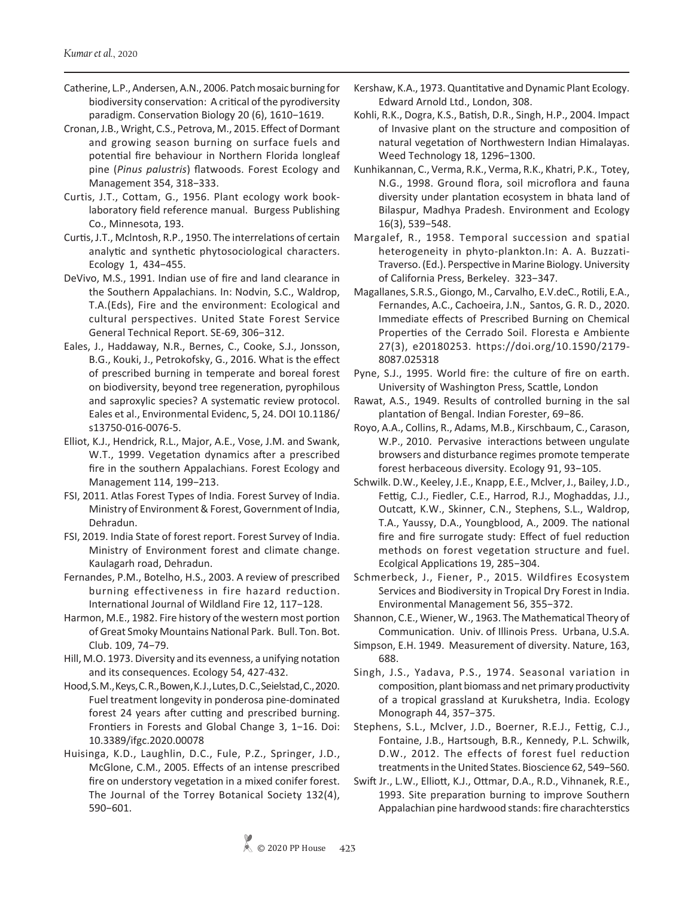- Catherine, L.P., Andersen, A.N., 2006. Patch mosaic burning for biodiversity conservation: A critical of the pyrodiversity paradigm. Conservation Biology 20 (6), 1610−1619.
- Cronan, J.B., Wright, C.S., Petrova, M., 2015. Effect of Dormant and growing season burning on surface fuels and potential fire behaviour in Northern Florida longleaf pine (*Pinus palustris*) flatwoods. Forest Ecology and Management 354, 318−333.
- Curtis, J.T., Cottam, G., 1956. Plant ecology work booklaboratory field reference manual. Burgess Publishing Co., Minnesota, 193.
- Curtis, J.T., Mclntosh, R.P., 1950. The interrelations of certain analytic and synthetic phytosociological characters. Ecology 1, 434−455.
- DeVivo, M.S., 1991. Indian use of fire and land clearance in the Southern Appalachians. In: Nodvin, S.C., Waldrop, T.A.(Eds), Fire and the environment: Ecological and cultural perspectives. United State Forest Service General Technical Report. SE-69, 306−312.
- Eales, J., Haddaway, N.R., Bernes, C., Cooke, S.J., Jonsson, B.G., Kouki, J., Petrokofsky, G., 2016. What is the effect of prescribed burning in temperate and boreal forest on biodiversity, beyond tree regeneration, pyrophilous and saproxylic species? A systematic review protocol. Eales et al., Environmental Evidenc, 5, 24. DOI 10.1186/ s13750-016-0076-5.
- Elliot, K.J., Hendrick, R.L., Major, A.E., Vose, J.M. and Swank, W.T., 1999. Vegetation dynamics after a prescribed fire in the southern Appalachians. Forest Ecology and Management 114, 199−213.
- FSI, 2011. Atlas Forest Types of India. Forest Survey of India. Ministry of Environment & Forest, Government of India, Dehradun.
- FSI, 2019. India State of forest report. Forest Survey of India. Ministry of Environment forest and climate change. Kaulagarh road, Dehradun.
- Fernandes, P.M., Botelho, H.S., 2003. A review of prescribed burning effectiveness in fire hazard reduction. International Journal of Wildland Fire 12, 117−128.
- Harmon, M.E., 1982. Fire history of the western most portion of Great Smoky Mountains National Park. Bull. Ton. Bot. Club. 109, 74−79.
- Hill, M.O. 1973. Diversity and its evenness, a unifying notation and its consequences. Ecology 54, 427-432.
- Hood, S. M., Keys, C. R., Bowen, K. J., Lutes, D. C., Seielstad, C., 2020. Fuel treatment longevity in ponderosa pine-dominated forest 24 years after cutting and prescribed burning. Frontiers in Forests and Global Change 3, 1−16. Doi: 10.3389/ifgc.2020.00078
- Huisinga, K.D., Laughlin, D.C., Fule, P.Z., Springer, J.D., McGlone, C.M., 2005. Effects of an intense prescribed fire on understory vegetation in a mixed conifer forest. The Journal of the Torrey Botanical Society 132(4), 590−601.
- Kershaw, K.A., 1973. Quantitative and Dynamic Plant Ecology. Edward Arnold Ltd., London, 308.
- Kohli, R.K., Dogra, K.S., Batish, D.R., Singh, H.P., 2004. Impact of Invasive plant on the structure and composition of natural vegetation of Northwestern Indian Himalayas. Weed Technology 18, 1296−1300.
- Kunhikannan, C., Verma, R.K., Verma, R.K., Khatri, P.K., Totey, N.G., 1998. Ground flora, soil microflora and fauna diversity under plantation ecosystem in bhata land of Bilaspur, Madhya Pradesh. Environment and Ecology 16(3), 539−548.
- Margalef, R., 1958. Temporal succession and spatial heterogeneity in phyto-plankton.In: A. A. Buzzati-Traverso. (Ed.). Perspective in Marine Biology. University of California Press, Berkeley. 323−347.
- Magallanes, S.R.S., Giongo, M., Carvalho, E.V.deC., Rotili, E.A., Fernandes, A.C., Cachoeira, J.N., Santos, G. R. D., 2020. Immediate effects of Prescribed Burning on Chemical Properties of the Cerrado Soil. Floresta e Ambiente 27(3), e20180253. https://doi.org/10.1590/2179- 8087.025318
- Pyne, S.J., 1995. World fire: the culture of fire on earth. University of Washington Press, Scattle, London
- Rawat, A.S., 1949. Results of controlled burning in the sal plantation of Bengal. Indian Forester, 69−86.
- Royo, A.A., Collins, R., Adams, M.B., Kirschbaum, C., Carason, W.P., 2010. Pervasive interactions between ungulate browsers and disturbance regimes promote temperate forest herbaceous diversity. Ecology 91, 93−105.
- Schwilk. D.W., Keeley, J.E., Knapp, E.E., Mclver, J., Bailey, J.D., Fettig, C.J., Fiedler, C.E., Harrod, R.J., Moghaddas, J.J., Outcatt, K.W., Skinner, C.N., Stephens, S.L., Waldrop, T.A., Yaussy, D.A., Youngblood, A., 2009. The national fire and fire surrogate study: Effect of fuel reduction methods on forest vegetation structure and fuel. Ecolgical Applications 19, 285−304.
- Schmerbeck, J., Fiener, P., 2015. Wildfires Ecosystem Services and Biodiversity in Tropical Dry Forest in India. Environmental Management 56, 355−372.
- Shannon, C.E., Wiener, W., 1963. The Mathematical Theory of Communication. Univ. of Illinois Press. Urbana, U.S.A.
- Simpson, E.H. 1949. Measurement of diversity. Nature, 163, 688.
- Singh, J.S., Yadava, P.S., 1974. Seasonal variation in composition, plant biomass and net primary productivity of a tropical grassland at Kurukshetra, India. Ecology Monograph 44, 357−375.
- Stephens, S.L., Mclver, J.D., Boerner, R.E.J., Fettig, C.J., Fontaine, J.B., Hartsough, B.R., Kennedy, P.L. Schwilk, D.W., 2012. The effects of forest fuel reduction treatments in the United States. Bioscience 62, 549−560.
- Swift Jr., L.W., Elliott, K.J., Ottmar, D.A., R.D., Vihnanek, R.E., 1993. Site preparation burning to improve Southern Appalachian pine hardwood stands: fire charachterstics